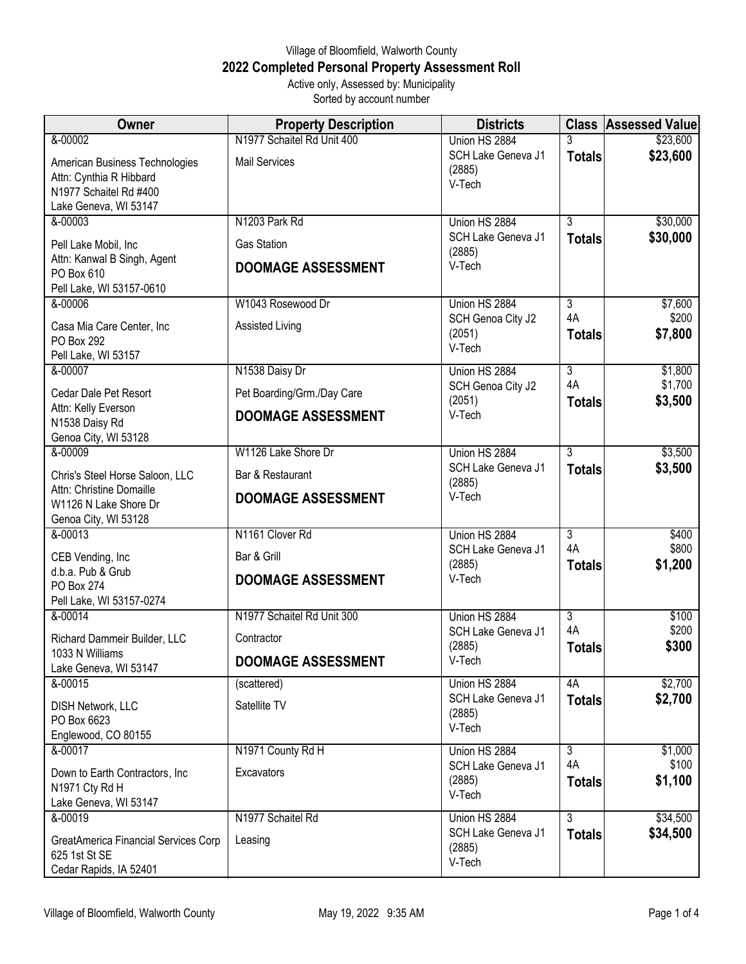## Village of Bloomfield, Walworth County **2022 Completed Personal Property Assessment Roll** Active only, Assessed by: Municipality

Sorted by account number

| Owner                                                                           | <b>Property Description</b> | <b>Districts</b>                       |                     | <b>Class Assessed Value</b> |
|---------------------------------------------------------------------------------|-----------------------------|----------------------------------------|---------------------|-----------------------------|
| &-00002                                                                         | N1977 Schaitel Rd Unit 400  | Union HS 2884                          | 3                   | \$23,600                    |
| American Business Technologies<br>Attn: Cynthia R Hibbard                       | <b>Mail Services</b>        | SCH Lake Geneva J1<br>(2885)<br>V-Tech | <b>Totals</b>       | \$23,600                    |
| N1977 Schaitel Rd #400<br>Lake Geneva, WI 53147                                 |                             |                                        |                     |                             |
| &-00003                                                                         | N1203 Park Rd               | Union HS 2884                          | $\overline{3}$      | \$30,000                    |
| Pell Lake Mobil, Inc                                                            | <b>Gas Station</b>          | SCH Lake Geneva J1<br>(2885)           | <b>Totals</b>       | \$30,000                    |
| Attn: Kanwal B Singh, Agent<br>PO Box 610<br>Pell Lake, WI 53157-0610           | <b>DOOMAGE ASSESSMENT</b>   | V-Tech                                 |                     |                             |
| $& -00006$                                                                      | W1043 Rosewood Dr           | Union HS 2884                          | $\overline{3}$      | \$7,600                     |
| Casa Mia Care Center, Inc                                                       | Assisted Living             | SCH Genoa City J2                      | 4A                  | \$200                       |
| PO Box 292<br>Pell Lake, WI 53157                                               |                             | (2051)<br>V-Tech                       | <b>Totals</b>       | \$7,800                     |
| &-00007                                                                         | N1538 Daisy Dr              | Union HS 2884                          | $\overline{3}$      | \$1,800                     |
| Cedar Dale Pet Resort                                                           | Pet Boarding/Grm./Day Care  | SCH Genoa City J2                      | 4A                  | \$1,700                     |
| Attn: Kelly Everson<br>N1538 Daisy Rd                                           | <b>DOOMAGE ASSESSMENT</b>   | (2051)<br>V-Tech                       | <b>Totals</b>       | \$3,500                     |
| Genoa City, WI 53128<br>&-00009                                                 | W1126 Lake Shore Dr         | Union HS 2884                          | $\overline{3}$      | \$3,500                     |
| Chris's Steel Horse Saloon, LLC                                                 | Bar & Restaurant            | SCH Lake Geneva J1<br>(2885)           | <b>Totals</b>       | \$3,500                     |
| Attn: Christine Domaille<br>W1126 N Lake Shore Dr<br>Genoa City, WI 53128       | <b>DOOMAGE ASSESSMENT</b>   | V-Tech                                 |                     |                             |
| &-00013                                                                         | N1161 Clover Rd             | Union HS 2884                          | $\overline{3}$      | \$400                       |
| CEB Vending, Inc                                                                | Bar & Grill                 | SCH Lake Geneva J1<br>(2885)           | 4A<br><b>Totals</b> | \$800<br>\$1,200            |
| d.b.a. Pub & Grub<br>PO Box 274                                                 | <b>DOOMAGE ASSESSMENT</b>   | V-Tech                                 |                     |                             |
| Pell Lake, WI 53157-0274                                                        |                             |                                        |                     |                             |
| &-00014                                                                         | N1977 Schaitel Rd Unit 300  | Union HS 2884                          | $\overline{3}$      | \$100                       |
| Richard Dammeir Builder, LLC<br>1033 N Williams                                 | Contractor                  | SCH Lake Geneva J1<br>(2885)           | 4A<br><b>Totals</b> | \$200<br>\$300              |
| Lake Geneva, WI 53147                                                           | <b>DOOMAGE ASSESSMENT</b>   | $V-Tech$                               |                     |                             |
| &-00015                                                                         | (scattered)                 | Union HS 2884                          | 4A                  | \$2,700                     |
| <b>DISH Network, LLC</b><br>PO Box 6623                                         | Satellite TV                | SCH Lake Geneva J1<br>(2885)           | <b>Totals</b>       | \$2,700                     |
| Englewood, CO 80155                                                             |                             | V-Tech                                 |                     |                             |
| &-00017                                                                         | N1971 County Rd H           | Union HS 2884                          | $\overline{3}$      | \$1,000                     |
| Down to Earth Contractors, Inc.                                                 | Excavators                  | SCH Lake Geneva J1<br>(2885)           | 4A                  | \$100                       |
| N1971 Cty Rd H                                                                  |                             | V-Tech                                 | <b>Totals</b>       | \$1,100                     |
| Lake Geneva, WI 53147<br>$8 - 00019$                                            | N1977 Schaitel Rd           | Union HS 2884                          | $\overline{3}$      | \$34,500                    |
|                                                                                 |                             | SCH Lake Geneva J1                     | <b>Totals</b>       | \$34,500                    |
| GreatAmerica Financial Services Corp<br>625 1st St SE<br>Cedar Rapids, IA 52401 | Leasing                     | (2885)<br>V-Tech                       |                     |                             |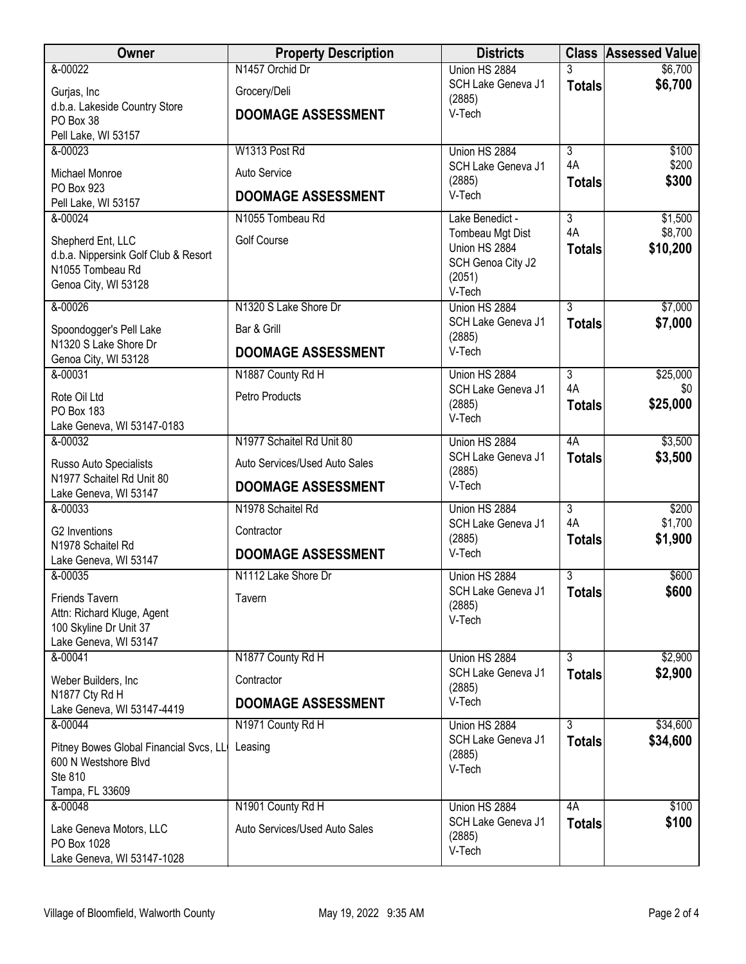| N1457 Orchid Dr<br>&-00022<br>Union HS 2884<br>3<br>\$6,700<br>SCH Lake Geneva J1<br><b>Totals</b><br>Grocery/Deli<br>Gurjas, Inc<br>(2885)<br>d.b.a. Lakeside Country Store<br>V-Tech<br><b>DOOMAGE ASSESSMENT</b><br>PO Box 38<br>Pell Lake, WI 53157<br>&-00023<br>W1313 Post Rd<br>Union HS 2884<br>$\overline{3}$<br>4A<br>SCH Lake Geneva J1<br>Auto Service<br>Michael Monroe<br>(2885)<br>\$300<br><b>Totals</b><br>PO Box 923<br>V-Tech<br><b>DOOMAGE ASSESSMENT</b><br>Pell Lake, WI 53157<br>$\overline{3}$<br>&-00024<br>N1055 Tombeau Rd<br>\$1,500<br>Lake Benedict -<br>4A<br>\$8,700<br>Tombeau Mgt Dist<br><b>Golf Course</b><br>Shepherd Ent, LLC<br>Union HS 2884<br><b>Totals</b><br>d.b.a. Nippersink Golf Club & Resort<br>SCH Genoa City J2<br>N1055 Tombeau Rd<br>(2051)<br>Genoa City, WI 53128<br>V-Tech<br>$\overline{3}$<br>&-00026<br>N1320 S Lake Shore Dr<br>Union HS 2884<br>SCH Lake Geneva J1<br><b>Totals</b> | Owner                     | <b>Property Description</b> | <b>Districts</b> | <b>Class Assessed Value</b> |
|--------------------------------------------------------------------------------------------------------------------------------------------------------------------------------------------------------------------------------------------------------------------------------------------------------------------------------------------------------------------------------------------------------------------------------------------------------------------------------------------------------------------------------------------------------------------------------------------------------------------------------------------------------------------------------------------------------------------------------------------------------------------------------------------------------------------------------------------------------------------------------------------------------------------------------------------------|---------------------------|-----------------------------|------------------|-----------------------------|
|                                                                                                                                                                                                                                                                                                                                                                                                                                                                                                                                                                                                                                                                                                                                                                                                                                                                                                                                                  |                           |                             |                  | \$6,700                     |
|                                                                                                                                                                                                                                                                                                                                                                                                                                                                                                                                                                                                                                                                                                                                                                                                                                                                                                                                                  |                           |                             |                  |                             |
|                                                                                                                                                                                                                                                                                                                                                                                                                                                                                                                                                                                                                                                                                                                                                                                                                                                                                                                                                  |                           |                             |                  |                             |
|                                                                                                                                                                                                                                                                                                                                                                                                                                                                                                                                                                                                                                                                                                                                                                                                                                                                                                                                                  |                           |                             |                  |                             |
|                                                                                                                                                                                                                                                                                                                                                                                                                                                                                                                                                                                                                                                                                                                                                                                                                                                                                                                                                  |                           |                             |                  | \$100                       |
|                                                                                                                                                                                                                                                                                                                                                                                                                                                                                                                                                                                                                                                                                                                                                                                                                                                                                                                                                  |                           |                             |                  | \$200                       |
|                                                                                                                                                                                                                                                                                                                                                                                                                                                                                                                                                                                                                                                                                                                                                                                                                                                                                                                                                  |                           |                             |                  |                             |
|                                                                                                                                                                                                                                                                                                                                                                                                                                                                                                                                                                                                                                                                                                                                                                                                                                                                                                                                                  |                           |                             |                  |                             |
|                                                                                                                                                                                                                                                                                                                                                                                                                                                                                                                                                                                                                                                                                                                                                                                                                                                                                                                                                  |                           |                             |                  |                             |
|                                                                                                                                                                                                                                                                                                                                                                                                                                                                                                                                                                                                                                                                                                                                                                                                                                                                                                                                                  |                           |                             |                  | \$10,200                    |
|                                                                                                                                                                                                                                                                                                                                                                                                                                                                                                                                                                                                                                                                                                                                                                                                                                                                                                                                                  |                           |                             |                  |                             |
|                                                                                                                                                                                                                                                                                                                                                                                                                                                                                                                                                                                                                                                                                                                                                                                                                                                                                                                                                  |                           |                             |                  |                             |
|                                                                                                                                                                                                                                                                                                                                                                                                                                                                                                                                                                                                                                                                                                                                                                                                                                                                                                                                                  |                           |                             |                  | \$7,000                     |
|                                                                                                                                                                                                                                                                                                                                                                                                                                                                                                                                                                                                                                                                                                                                                                                                                                                                                                                                                  | Spoondogger's Pell Lake   | Bar & Grill                 |                  | \$7,000                     |
| (2885)<br>N1320 S Lake Shore Dr<br>V-Tech<br><b>DOOMAGE ASSESSMENT</b>                                                                                                                                                                                                                                                                                                                                                                                                                                                                                                                                                                                                                                                                                                                                                                                                                                                                           |                           |                             |                  |                             |
| Genoa City, WI 53128<br>&-00031<br>Union HS 2884<br>$\overline{3}$<br>N1887 County Rd H                                                                                                                                                                                                                                                                                                                                                                                                                                                                                                                                                                                                                                                                                                                                                                                                                                                          |                           |                             |                  | \$25,000                    |
| 4A<br>SCH Lake Geneva J1                                                                                                                                                                                                                                                                                                                                                                                                                                                                                                                                                                                                                                                                                                                                                                                                                                                                                                                         |                           |                             |                  | \$0                         |
| Rote Oil Ltd<br>Petro Products<br>(2885)<br><b>Totals</b><br>PO Box 183                                                                                                                                                                                                                                                                                                                                                                                                                                                                                                                                                                                                                                                                                                                                                                                                                                                                          |                           |                             |                  | \$25,000                    |
| V-Tech<br>Lake Geneva, WI 53147-0183                                                                                                                                                                                                                                                                                                                                                                                                                                                                                                                                                                                                                                                                                                                                                                                                                                                                                                             |                           |                             |                  |                             |
| 4A<br>&-00032<br>N1977 Schaitel Rd Unit 80<br>Union HS 2884                                                                                                                                                                                                                                                                                                                                                                                                                                                                                                                                                                                                                                                                                                                                                                                                                                                                                      |                           |                             |                  | \$3,500                     |
| SCH Lake Geneva J1<br><b>Totals</b><br>Russo Auto Specialists<br>Auto Services/Used Auto Sales<br>(2885)                                                                                                                                                                                                                                                                                                                                                                                                                                                                                                                                                                                                                                                                                                                                                                                                                                         |                           |                             |                  | \$3,500                     |
| V-Tech<br><b>DOOMAGE ASSESSMENT</b><br>Lake Geneva, WI 53147                                                                                                                                                                                                                                                                                                                                                                                                                                                                                                                                                                                                                                                                                                                                                                                                                                                                                     | N1977 Schaitel Rd Unit 80 |                             |                  |                             |
| &-00033<br>$\overline{3}$<br>N1978 Schaitel Rd<br>Union HS 2884                                                                                                                                                                                                                                                                                                                                                                                                                                                                                                                                                                                                                                                                                                                                                                                                                                                                                  |                           |                             |                  | \$200                       |
| 4A<br>SCH Lake Geneva J1<br>G2 Inventions<br>Contractor<br>(2885)<br><b>Totals</b>                                                                                                                                                                                                                                                                                                                                                                                                                                                                                                                                                                                                                                                                                                                                                                                                                                                               |                           |                             |                  | \$1,700<br>\$1,900          |
| N1978 Schaitel Rd<br>V-Tech<br><b>DOOMAGE ASSESSMENT</b><br>Lake Geneva, WI 53147                                                                                                                                                                                                                                                                                                                                                                                                                                                                                                                                                                                                                                                                                                                                                                                                                                                                |                           |                             |                  |                             |
| &-00035<br>N1112 Lake Shore Dr<br>$\overline{3}$<br>Union HS 2884                                                                                                                                                                                                                                                                                                                                                                                                                                                                                                                                                                                                                                                                                                                                                                                                                                                                                |                           |                             |                  | \$600                       |
| SCH Lake Geneva J1<br><b>Totals</b><br>Friends Tavern<br>Tavern                                                                                                                                                                                                                                                                                                                                                                                                                                                                                                                                                                                                                                                                                                                                                                                                                                                                                  |                           |                             |                  | \$600                       |
| (2885)<br>Attn: Richard Kluge, Agent<br>V-Tech                                                                                                                                                                                                                                                                                                                                                                                                                                                                                                                                                                                                                                                                                                                                                                                                                                                                                                   |                           |                             |                  |                             |
| 100 Skyline Dr Unit 37<br>Lake Geneva, WI 53147                                                                                                                                                                                                                                                                                                                                                                                                                                                                                                                                                                                                                                                                                                                                                                                                                                                                                                  |                           |                             |                  |                             |
| $\overline{3}$<br>&-00041<br>N1877 County Rd H<br>Union HS 2884                                                                                                                                                                                                                                                                                                                                                                                                                                                                                                                                                                                                                                                                                                                                                                                                                                                                                  |                           |                             |                  | \$2,900                     |
| SCH Lake Geneva J1<br><b>Totals</b><br>Weber Builders, Inc<br>Contractor                                                                                                                                                                                                                                                                                                                                                                                                                                                                                                                                                                                                                                                                                                                                                                                                                                                                         |                           |                             |                  | \$2,900                     |
| (2885)<br>N1877 Cty Rd H<br>V-Tech                                                                                                                                                                                                                                                                                                                                                                                                                                                                                                                                                                                                                                                                                                                                                                                                                                                                                                               |                           |                             |                  |                             |
| <b>DOOMAGE ASSESSMENT</b><br>Lake Geneva, WI 53147-4419                                                                                                                                                                                                                                                                                                                                                                                                                                                                                                                                                                                                                                                                                                                                                                                                                                                                                          |                           |                             |                  |                             |
| $\overline{3}$<br>&-00044<br>N1971 County Rd H<br>Union HS 2884<br>SCH Lake Geneva J1<br><b>Totals</b>                                                                                                                                                                                                                                                                                                                                                                                                                                                                                                                                                                                                                                                                                                                                                                                                                                           |                           |                             |                  | \$34,600<br>\$34,600        |
| Pitney Bowes Global Financial Svcs, LL<br>Leasing<br>(2885)                                                                                                                                                                                                                                                                                                                                                                                                                                                                                                                                                                                                                                                                                                                                                                                                                                                                                      |                           |                             |                  |                             |
| 600 N Westshore Blvd<br>V-Tech<br>Ste 810                                                                                                                                                                                                                                                                                                                                                                                                                                                                                                                                                                                                                                                                                                                                                                                                                                                                                                        |                           |                             |                  |                             |
| Tampa, FL 33609                                                                                                                                                                                                                                                                                                                                                                                                                                                                                                                                                                                                                                                                                                                                                                                                                                                                                                                                  |                           |                             |                  |                             |
| N1901 County Rd H<br>4A<br>&-00048<br>Union HS 2884                                                                                                                                                                                                                                                                                                                                                                                                                                                                                                                                                                                                                                                                                                                                                                                                                                                                                              |                           |                             |                  | \$100                       |
| SCH Lake Geneva J1<br><b>Totals</b><br>Auto Services/Used Auto Sales<br>Lake Geneva Motors, LLC<br>(2885)                                                                                                                                                                                                                                                                                                                                                                                                                                                                                                                                                                                                                                                                                                                                                                                                                                        |                           |                             |                  | \$100                       |
| PO Box 1028<br>V-Tech<br>Lake Geneva, WI 53147-1028                                                                                                                                                                                                                                                                                                                                                                                                                                                                                                                                                                                                                                                                                                                                                                                                                                                                                              |                           |                             |                  |                             |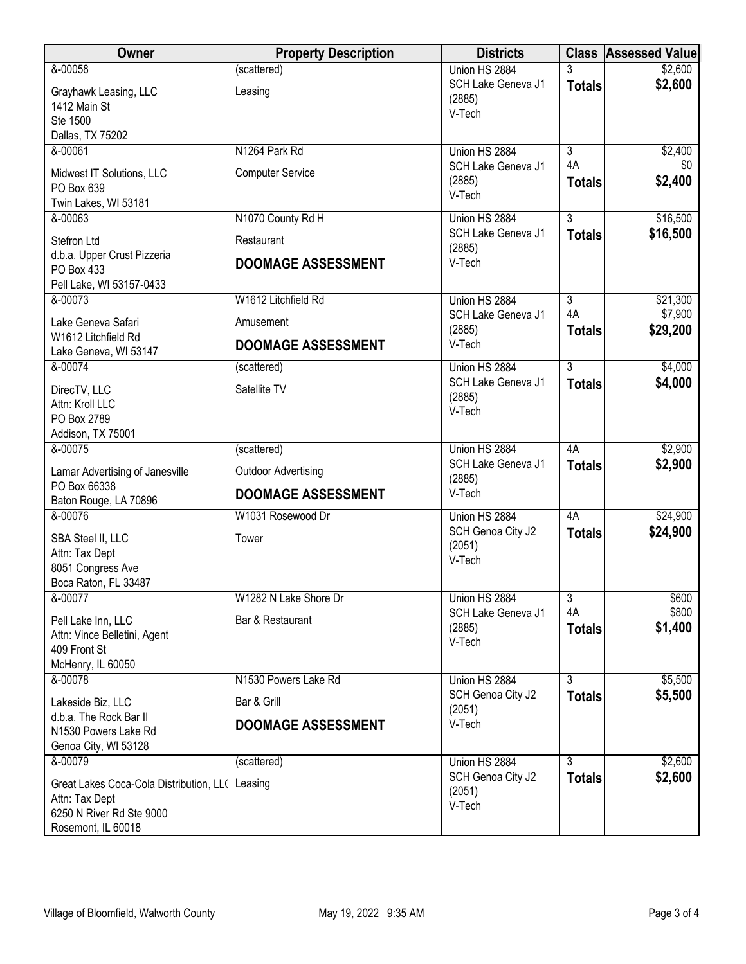| Owner                                           | <b>Property Description</b> | <b>Districts</b>   |                | <b>Class Assessed Value</b> |
|-------------------------------------------------|-----------------------------|--------------------|----------------|-----------------------------|
| &-00058                                         | (scattered)                 | Union HS 2884      | 3              | \$2,600                     |
| Grayhawk Leasing, LLC                           | Leasing                     | SCH Lake Geneva J1 | <b>Totals</b>  | \$2,600                     |
| 1412 Main St                                    |                             | (2885)<br>V-Tech   |                |                             |
| Ste 1500                                        |                             |                    |                |                             |
| Dallas, TX 75202                                |                             |                    |                |                             |
| &-00061                                         | N1264 Park Rd               | Union HS 2884      | $\overline{3}$ | \$2,400                     |
| Midwest IT Solutions, LLC                       | <b>Computer Service</b>     | SCH Lake Geneva J1 | 4A             | \$0                         |
| PO Box 639                                      |                             | (2885)<br>V-Tech   | <b>Totals</b>  | \$2,400                     |
| Twin Lakes, WI 53181                            |                             |                    |                |                             |
| &-00063                                         | N1070 County Rd H           | Union HS 2884      | 3              | \$16,500                    |
| Stefron Ltd                                     | Restaurant                  | SCH Lake Geneva J1 | <b>Totals</b>  | \$16,500                    |
| d.b.a. Upper Crust Pizzeria                     |                             | (2885)<br>V-Tech   |                |                             |
| PO Box 433                                      | <b>DOOMAGE ASSESSMENT</b>   |                    |                |                             |
| Pell Lake, WI 53157-0433                        |                             |                    |                |                             |
| &-00073                                         | W1612 Litchfield Rd         | Union HS 2884      | $\overline{3}$ | \$21,300                    |
| Lake Geneva Safari                              | Amusement                   | SCH Lake Geneva J1 | 4A             | \$7,900                     |
| W1612 Litchfield Rd                             |                             | (2885)             | <b>Totals</b>  | \$29,200                    |
| Lake Geneva, WI 53147                           | <b>DOOMAGE ASSESSMENT</b>   | V-Tech             |                |                             |
| &-00074                                         | (scattered)                 | Union HS 2884      | $\overline{3}$ | \$4,000                     |
| DirecTV, LLC                                    | Satellite TV                | SCH Lake Geneva J1 | <b>Totals</b>  | \$4,000                     |
| Attn: Kroll LLC                                 |                             | (2885)             |                |                             |
| PO Box 2789                                     |                             | V-Tech             |                |                             |
| Addison, TX 75001                               |                             |                    |                |                             |
| &-00075                                         | (scattered)                 | Union HS 2884      | 4A             | \$2,900                     |
| Lamar Advertising of Janesville                 | <b>Outdoor Advertising</b>  | SCH Lake Geneva J1 | <b>Totals</b>  | \$2,900                     |
| PO Box 66338                                    |                             | (2885)             |                |                             |
| Baton Rouge, LA 70896                           | <b>DOOMAGE ASSESSMENT</b>   | V-Tech             |                |                             |
| &-00076                                         | W1031 Rosewood Dr           | Union HS 2884      | 4A             | \$24,900                    |
| SBA Steel II, LLC                               | Tower                       | SCH Genoa City J2  | <b>Totals</b>  | \$24,900                    |
| Attn: Tax Dept                                  |                             | (2051)             |                |                             |
| 8051 Congress Ave                               |                             | V-Tech             |                |                             |
| Boca Raton, FL 33487                            |                             |                    |                |                             |
| &-00077                                         | W1282 N Lake Shore Dr       | Union HS 2884      | $\overline{3}$ | \$600                       |
| Pell Lake Inn, LLC                              | Bar & Restaurant            | SCH Lake Geneva J1 | 4A             | \$800                       |
| Attn: Vince Belletini, Agent                    |                             | (2885)<br>V-Tech   | <b>Totals</b>  | \$1,400                     |
| 409 Front St                                    |                             |                    |                |                             |
| McHenry, IL 60050                               |                             |                    |                |                             |
| & 00078                                         | N1530 Powers Lake Rd        | Union HS 2884      | $\overline{3}$ | \$5,500                     |
| Lakeside Biz, LLC                               | Bar & Grill                 | SCH Genoa City J2  | <b>Totals</b>  | \$5,500                     |
| d.b.a. The Rock Bar II                          |                             | (2051)             |                |                             |
| N1530 Powers Lake Rd                            | <b>DOOMAGE ASSESSMENT</b>   | V-Tech             |                |                             |
| Genoa City, WI 53128                            |                             |                    |                |                             |
| 8-00079                                         | (scattered)                 | Union HS 2884      | 3              | \$2,600                     |
| Great Lakes Coca-Cola Distribution, LL( Leasing |                             | SCH Genoa City J2  | <b>Totals</b>  | \$2,600                     |
| Attn: Tax Dept                                  |                             | (2051)             |                |                             |
| 6250 N River Rd Ste 9000                        |                             | V-Tech             |                |                             |
| Rosemont, IL 60018                              |                             |                    |                |                             |